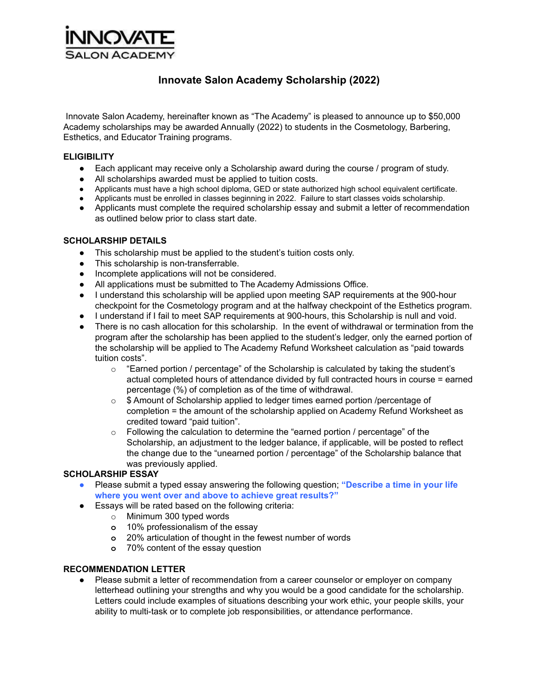

# **Innovate Salon Academy Scholarship (2022)**

Innovate Salon Academy, hereinafter known as "The Academy" is pleased to announce up to \$50,000 Academy scholarships may be awarded Annually (2022) to students in the Cosmetology, Barbering, Esthetics, and Educator Training programs.

### **ELIGIBILITY**

- **●** Each applicant may receive only a Scholarship award during the course / program of study.
- All scholarships awarded must be applied to tuition costs.
- **●** Applicants must have a high school diploma, GED or state authorized high school equivalent certificate.
- **●** Applicants must be enrolled in classes beginning in 2022. Failure to start classes voids scholarship.
- **●** Applicants must complete the required scholarship essay and submit a letter of recommendation as outlined below prior to class start date.

#### **SCHOLARSHIP DETAILS**

- This scholarship must be applied to the student's tuition costs only.
- This scholarship is non-transferrable.
- Incomplete applications will not be considered.
- All applications must be submitted to The Academy Admissions Office.
- I understand this scholarship will be applied upon meeting SAP requirements at the 900-hour checkpoint for the Cosmetology program and at the halfway checkpoint of the Esthetics program.
- I understand if I fail to meet SAP requirements at 900-hours, this Scholarship is null and void.
- There is no cash allocation for this scholarship. In the event of withdrawal or termination from the program after the scholarship has been applied to the student's ledger, only the earned portion of the scholarship will be applied to The Academy Refund Worksheet calculation as "paid towards tuition costs".
	- $\circ$  "Earned portion / percentage" of the Scholarship is calculated by taking the student's actual completed hours of attendance divided by full contracted hours in course = earned percentage (%) of completion as of the time of withdrawal.
	- o \$ Amount of Scholarship applied to ledger times earned portion /percentage of completion = the amount of the scholarship applied on Academy Refund Worksheet as credited toward "paid tuition".
	- $\circ$  Following the calculation to determine the "earned portion / percentage" of the Scholarship, an adjustment to the ledger balance, if applicable, will be posted to reflect the change due to the "unearned portion / percentage" of the Scholarship balance that was previously applied.

#### **SCHOLARSHIP ESSAY**

- **●** Please submit a typed essay answering the following question; **"Describe a time in your life where you went over and above to achieve great results?"**
- Essays will be rated based on the following criteria:
	- o Minimum 300 typed words
		- **o** 10% professionalism of the essay
		- **o** 20% articulation of thought in the fewest number of words
		- **o** 70% content of the essay question

#### **RECOMMENDATION LETTER**

● Please submit a letter of recommendation from a career counselor or employer on company letterhead outlining your strengths and why you would be a good candidate for the scholarship. Letters could include examples of situations describing your work ethic, your people skills, your ability to multi-task or to complete job responsibilities, or attendance performance.